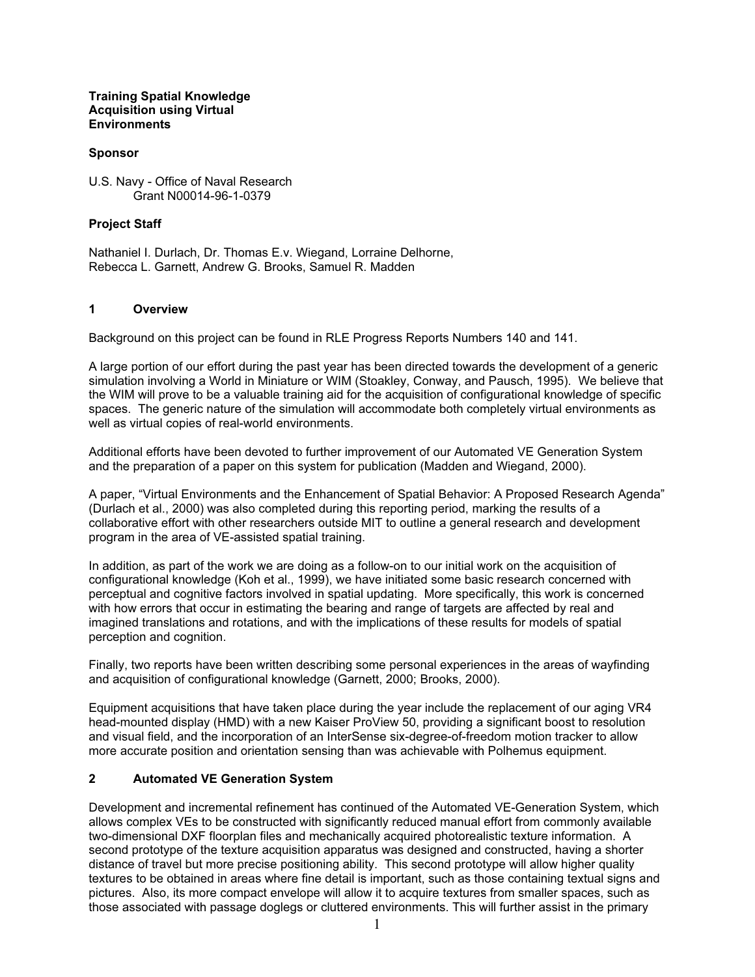### Training Spatial Knowledge Acquisition using Virtual **Environments**

## **Sponsor**

#### U.S. Navy - Office of Naval Research Grant N00014-96-1-0379

## Project Staff

Nathaniel I. Durlach, Dr. Thomas E.v. Wiegand, Lorraine Delhorne, Rebecca L. Garnett, Andrew G. Brooks, Samuel R. Madden

### 1 Overview

Background on this project can be found in RLE Progress Reports Numbers 140 and 141.

A large portion of our effort during the past year has been directed towards the development of a generic simulation involving a World in Miniature or WIM (Stoakley, Conway, and Pausch, 1995). We believe that the WIM will prove to be a valuable training aid for the acquisition of configurational knowledge of specific spaces. The generic nature of the simulation will accommodate both completely virtual environments as well as virtual copies of real-world environments.

Additional efforts have been devoted to further improvement of our Automated VE Generation System and the preparation of a paper on this system for publication (Madden and Wiegand, 2000).

A paper, "Virtual Environments and the Enhancement of Spatial Behavior: A Proposed Research Agenda" (Durlach et al., 2000) was also completed during this reporting period, marking the results of a collaborative effort with other researchers outside MIT to outline a general research and development program in the area of VE-assisted spatial training.

In addition, as part of the work we are doing as a follow-on to our initial work on the acquisition of configurational knowledge (Koh et al., 1999), we have initiated some basic research concerned with perceptual and cognitive factors involved in spatial updating. More specifically, this work is concerned with how errors that occur in estimating the bearing and range of targets are affected by real and imagined translations and rotations, and with the implications of these results for models of spatial perception and cognition.

Finally, two reports have been written describing some personal experiences in the areas of wayfinding and acquisition of configurational knowledge (Garnett, 2000; Brooks, 2000).

Equipment acquisitions that have taken place during the year include the replacement of our aging VR4 head-mounted display (HMD) with a new Kaiser ProView 50, providing a significant boost to resolution and visual field, and the incorporation of an InterSense six-degree-of-freedom motion tracker to allow more accurate position and orientation sensing than was achievable with Polhemus equipment.

### 2 Automated VE Generation System

Development and incremental refinement has continued of the Automated VE-Generation System, which allows complex VEs to be constructed with significantly reduced manual effort from commonly available two-dimensional DXF floorplan files and mechanically acquired photorealistic texture information. A second prototype of the texture acquisition apparatus was designed and constructed, having a shorter distance of travel but more precise positioning ability. This second prototype will allow higher quality textures to be obtained in areas where fine detail is important, such as those containing textual signs and pictures. Also, its more compact envelope will allow it to acquire textures from smaller spaces, such as those associated with passage doglegs or cluttered environments. This will further assist in the primary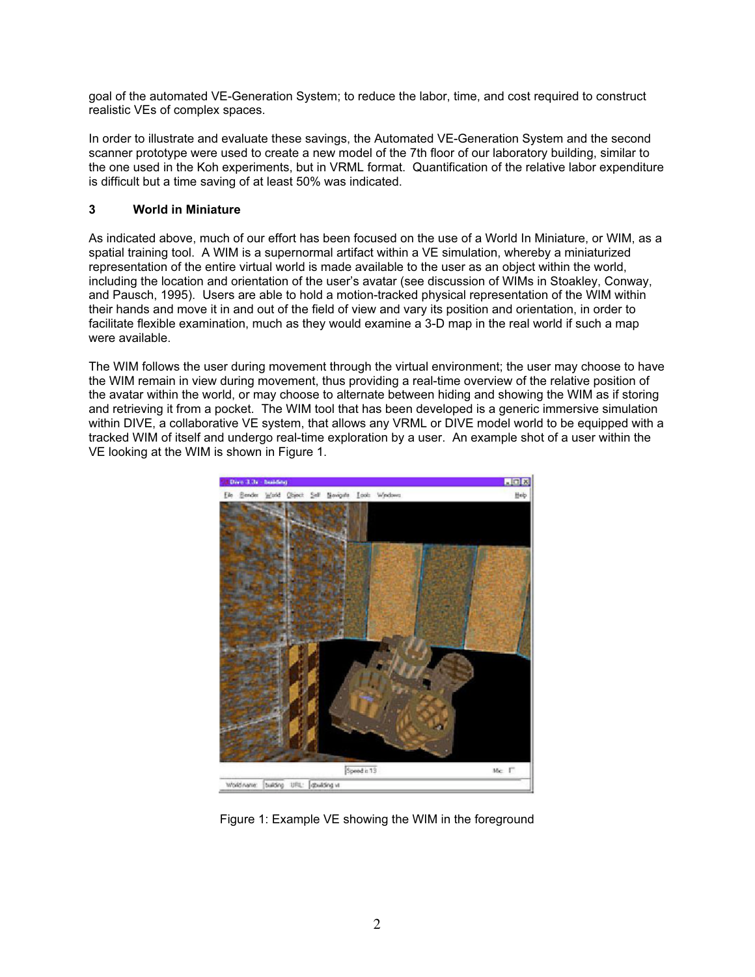goal of the automated VE-Generation System; to reduce the labor, time, and cost required to construct realistic VEs of complex spaces.

In order to illustrate and evaluate these savings, the Automated VE-Generation System and the second scanner prototype were used to create a new model of the 7th floor of our laboratory building, similar to the one used in the Koh experiments, but in VRML format. Quantification of the relative labor expenditure is difficult but a time saving of at least 50% was indicated.

# 3 World in Miniature

As indicated above, much of our effort has been focused on the use of a World In Miniature, or WIM, as a spatial training tool. A WIM is a supernormal artifact within a VE simulation, whereby a miniaturized representation of the entire virtual world is made available to the user as an object within the world, including the location and orientation of the user's avatar (see discussion of WIMs in Stoakley, Conway, and Pausch, 1995). Users are able to hold a motion-tracked physical representation of the WIM within their hands and move it in and out of the field of view and vary its position and orientation, in order to facilitate flexible examination, much as they would examine a 3-D map in the real world if such a map were available.

The WIM follows the user during movement through the virtual environment; the user may choose to have the WIM remain in view during movement, thus providing a real-time overview of the relative position of the avatar within the world, or may choose to alternate between hiding and showing the WIM as if storing and retrieving it from a pocket. The WIM tool that has been developed is a generic immersive simulation within DIVE, a collaborative VE system, that allows any VRML or DIVE model world to be equipped with a tracked WIM of itself and undergo real-time exploration by a user. An example shot of a user within the VE looking at the WIM is shown in Figure 1.



Figure 1: Example VE showing the WIM in the foreground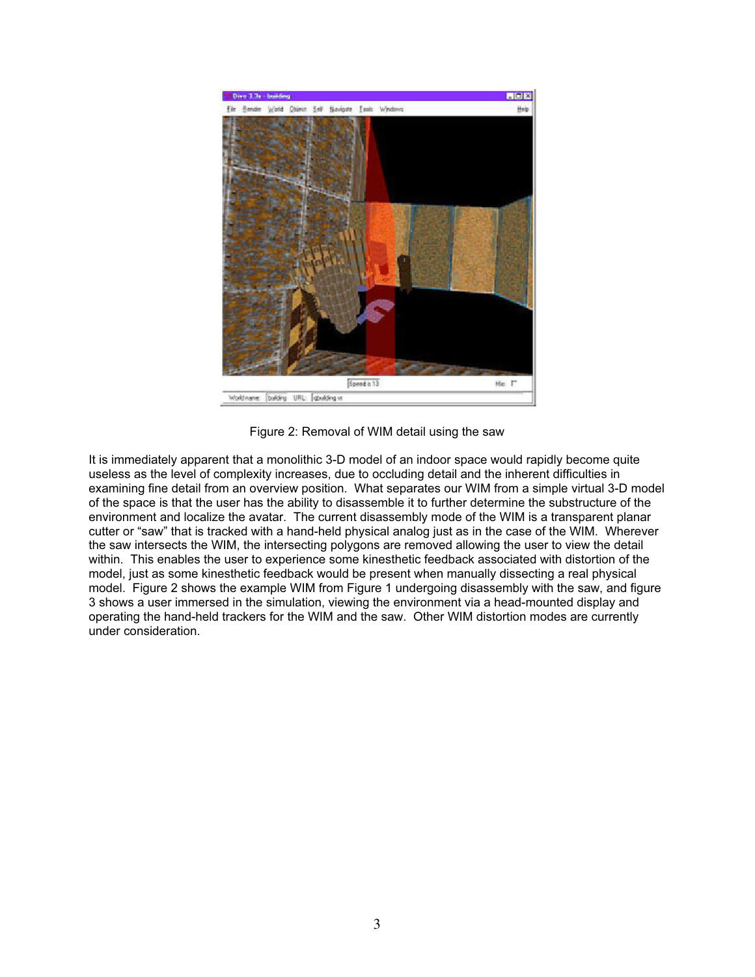

Figure 2: Removal of WIM detail using the saw

It is immediately apparent that a monolithic 3-D model of an indoor space would rapidly become quite useless as the level of complexity increases, due to occluding detail and the inherent difficulties in examining fine detail from an overview position. What separates our WIM from a simple virtual 3-D model of the space is that the user has the ability to disassemble it to further determine the substructure of the environment and localize the avatar. The current disassembly mode of the WIM is a transparent planar cutter or "saw" that is tracked with a hand-held physical analog just as in the case of the WIM. Wherever the saw intersects the WIM, the intersecting polygons are removed allowing the user to view the detail within. This enables the user to experience some kinesthetic feedback associated with distortion of the model, just as some kinesthetic feedback would be present when manually dissecting a real physical model. Figure 2 shows the example WIM from Figure 1 undergoing disassembly with the saw, and figure 3 shows a user immersed in the simulation, viewing the environment via a head-mounted display and operating the hand-held trackers for the WIM and the saw. Other WIM distortion modes are currently under consideration.